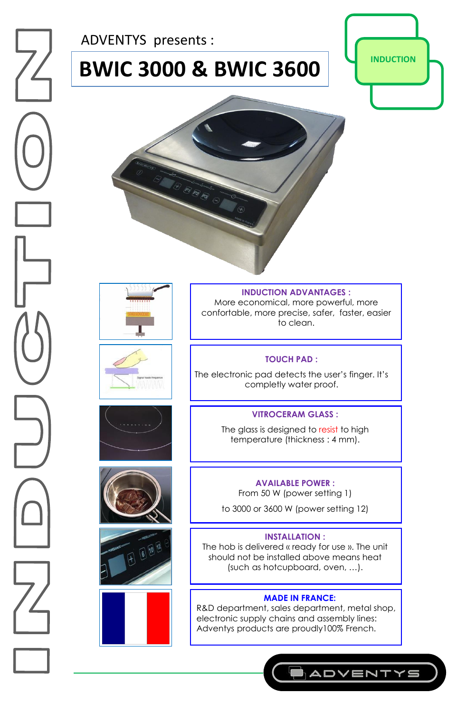ADVENTYS presents :

# **BWIC 3000 & BWIC 3600**  $\left|\right|$  **INDUCTION**















#### **INDUCTION ADVANTAGES :**

More economical, more powerful, more confortable, more precise, safer, faster, easier to clean.

#### **TOUCH PAD :**

The electronic pad detects the user's finger. It's completly water proof.

#### **VITROCERAM GLASS :**

The glass is designed to resist to high temperature (thickness : 4 mm).

#### **AVAILABLE POWER :**

From 50 W (power setting 1)

to 3000 or 3600 W (power setting 12)

#### **INSTALLATION :**

The hob is delivered « ready for use ». The unit should not be installed above means heat (such as hotcupboard, oven, …).

#### **MADE IN FRANCE:**

R&D department, sales department, metal shop, electronic supply chains and assembly lines: Adventys products are proudly100% French.